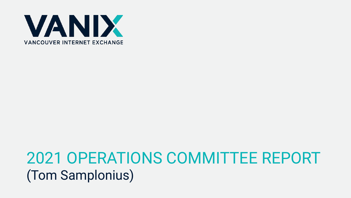

#### 2021 OPERATIONS COMMITTEE REPORT (Tom Samplonius)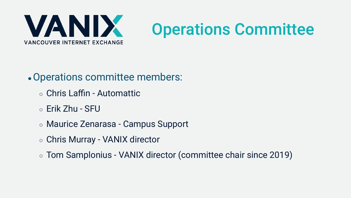

# Operations Committee

#### • Operations committee members:

- Chris Laffin Automattic
- $\circ$  Erik Zhu SFU
- Maurice Zenarasa Campus Support
- Chris Murray VANIX director
- Tom Samplonius VANIX director (committee chair since 2019)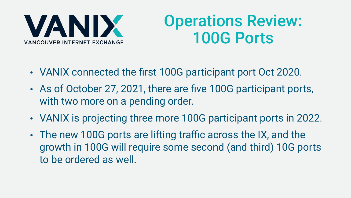

### Operations Review: 100G Ports

- VANIX connected the first 100G participant port Oct 2020.
- As of October 27, 2021, there are five 100G participant ports, with two more on a pending order.
- VANIX is projecting three more 100G participant ports in 2022.
- The new 100G ports are lifting traffic across the IX, and the growth in 100G will require some second (and third) 10G ports to be ordered as well.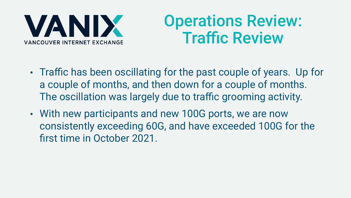

### Operations Review: Traffic Review

- Traffic has been oscillating for the past couple of years. Up for a couple of months, and then down for a couple of months. The oscillation was largely due to traffic grooming activity.
- With new participants and new 100G ports, we are now consistently exceeding 60G, and have exceeded 100G for the first time in October 2021.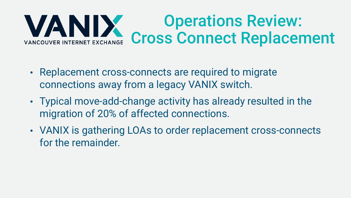#### Operations Review: Cross Connect Replacement VANCOUVER INTERNET EXCHANGE

- Replacement cross-connects are required to migrate connections away from a legacy VANIX switch.
- Typical move-add-change activity has already resulted in the migration of 20% of affected connections.
- VANIX is gathering LOAs to order replacement cross-connects for the remainder.